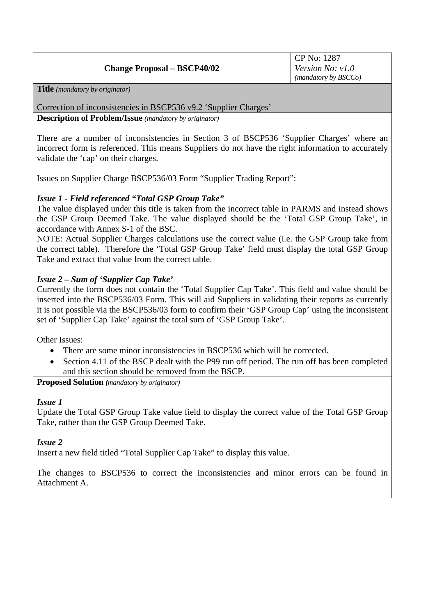# **Change Proposal – BSCP40/02**

**Title** *(mandatory by originator)* 

Correction of inconsistencies in BSCP536 v9.2 'Supplier Charges'

**Description of Problem/Issue** *(mandatory by originator)* 

There are a number of inconsistencies in Section 3 of BSCP536 'Supplier Charges' where an incorrect form is referenced. This means Suppliers do not have the right information to accurately validate the 'cap' on their charges.

Issues on Supplier Charge BSCP536/03 Form "Supplier Trading Report":

## *Issue 1 - Field referenced "Total GSP Group Take"*

The value displayed under this title is taken from the incorrect table in PARMS and instead shows the GSP Group Deemed Take. The value displayed should be the 'Total GSP Group Take', in accordance with Annex S-1 of the BSC.

NOTE: Actual Supplier Charges calculations use the correct value (i.e. the GSP Group take from the correct table). Therefore the 'Total GSP Group Take' field must display the total GSP Group Take and extract that value from the correct table.

## *Issue 2 – Sum of 'Supplier Cap Take'*

Currently the form does not contain the 'Total Supplier Cap Take'. This field and value should be inserted into the BSCP536/03 Form. This will aid Suppliers in validating their reports as currently it is not possible via the BSCP536/03 form to confirm their 'GSP Group Cap' using the inconsistent set of 'Supplier Cap Take' against the total sum of 'GSP Group Take'.

Other Issues:

- There are some minor inconsistencies in BSCP536 which will be corrected.
- Section 4.11 of the BSCP dealt with the P99 run off period. The run off has been completed and this section should be removed from the BSCP.

**Proposed Solution** *(mandatory by originator)* 

### *Issue 1*

Update the Total GSP Group Take value field to display the correct value of the Total GSP Group Take, rather than the GSP Group Deemed Take.

### *Issue 2*

Insert a new field titled "Total Supplier Cap Take" to display this value.

The changes to BSCP536 to correct the inconsistencies and minor errors can be found in Attachment A.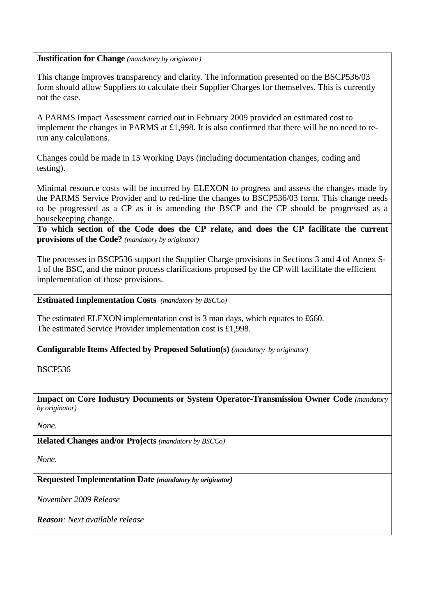### **Justification for Change** *(mandatory by originator)*

This change improves transparency and clarity. The information presented on the BSCP536/03 form should allow Suppliers to calculate their Supplier Charges for themselves. This is currently not the case.

A PARMS Impact Assessment carried out in February 2009 provided an estimated cost to implement the changes in PARMS at £1,998. It is also confirmed that there will be no need to rerun any calculations.

Changes could be made in 15 Working Days (including documentation changes, coding and testing).

Minimal resource costs will be incurred by ELEXON to progress and assess the changes made by the PARMS Service Provider and to red-line the changes to BSCP536/03 form. This change needs to be progressed as a CP as it is amending the BSCP and the CP should be progressed as a housekeeping change.

**To which section of the Code does the CP relate, and does the CP facilitate the current provisions of the Code?** *(mandatory by originator)* 

The processes in BSCP536 support the Supplier Charge provisions in Sections 3 and 4 of Annex S-1 of the BSC, and the minor process clarifications proposed by the CP will facilitate the efficient implementation of those provisions.

**Estimated Implementation Costs** *(mandatory by BSCCo)* 

The estimated ELEXON implementation cost is 3 man days, which equates to £660. The estimated Service Provider implementation cost is £1,998.

**Configurable Items Affected by Proposed Solution(s)** *(mandatory by originator)* 

BSCP536

**Impact on Core Industry Documents or System Operator-Transmission Owner Code** *(mandatory by originator)* 

*None.* 

**Related Changes and/or Projects** *(mandatory by BSCCo)* 

*None.* 

**Requested Implementation Date** *(mandatory by originator)* 

*November 2009 Release* 

*Reason: Next available release*